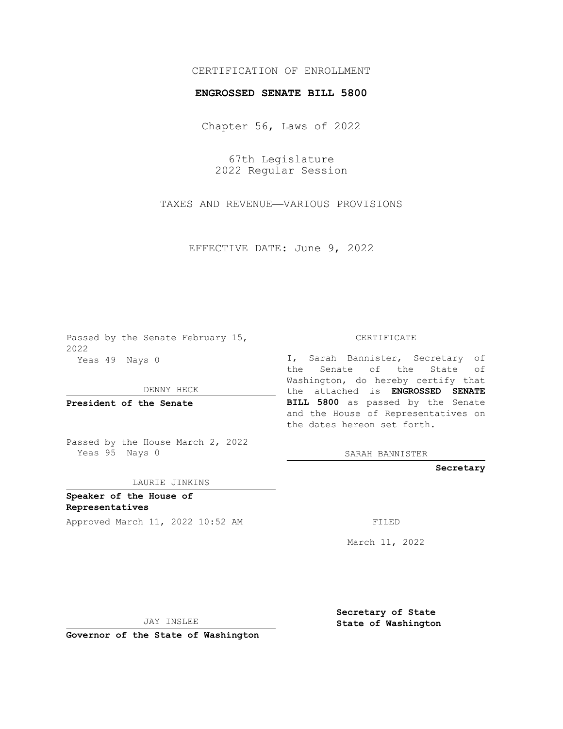## CERTIFICATION OF ENROLLMENT

## **ENGROSSED SENATE BILL 5800**

Chapter 56, Laws of 2022

67th Legislature 2022 Regular Session

TAXES AND REVENUE—VARIOUS PROVISIONS

EFFECTIVE DATE: June 9, 2022

Passed by the Senate February 15, 2022 Yeas 49 Nays 0

DENNY HECK

**President of the Senate**

Passed by the House March 2, 2022 Yeas 95 Nays 0

LAURIE JINKINS

**Speaker of the House of Representatives**

Approved March 11, 2022 10:52 AM FILED

CERTIFICATE

I, Sarah Bannister, Secretary of the Senate of the State of Washington, do hereby certify that the attached is **ENGROSSED SENATE BILL 5800** as passed by the Senate and the House of Representatives on the dates hereon set forth.

SARAH BANNISTER

**Secretary**

March 11, 2022

JAY INSLEE

**Governor of the State of Washington**

**Secretary of State State of Washington**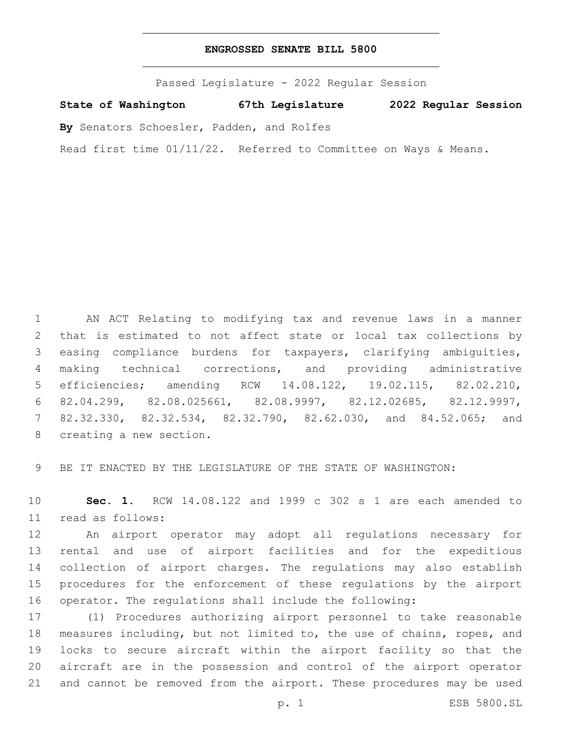## **ENGROSSED SENATE BILL 5800**

Passed Legislature - 2022 Regular Session

**State of Washington 67th Legislature 2022 Regular Session**

**By** Senators Schoesler, Padden, and Rolfes

Read first time 01/11/22. Referred to Committee on Ways & Means.

 AN ACT Relating to modifying tax and revenue laws in a manner that is estimated to not affect state or local tax collections by easing compliance burdens for taxpayers, clarifying ambiguities, making technical corrections, and providing administrative efficiencies; amending RCW 14.08.122, 19.02.115, 82.02.210, 82.04.299, 82.08.025661, 82.08.9997, 82.12.02685, 82.12.9997, 82.32.330, 82.32.534, 82.32.790, 82.62.030, and 84.52.065; and 8 creating a new section.

BE IT ENACTED BY THE LEGISLATURE OF THE STATE OF WASHINGTON:

 **Sec. 1.** RCW 14.08.122 and 1999 c 302 s 1 are each amended to read as follows:11

 An airport operator may adopt all regulations necessary for rental and use of airport facilities and for the expeditious collection of airport charges. The regulations may also establish procedures for the enforcement of these regulations by the airport operator. The regulations shall include the following:

 (1) Procedures authorizing airport personnel to take reasonable measures including, but not limited to, the use of chains, ropes, and locks to secure aircraft within the airport facility so that the aircraft are in the possession and control of the airport operator and cannot be removed from the airport. These procedures may be used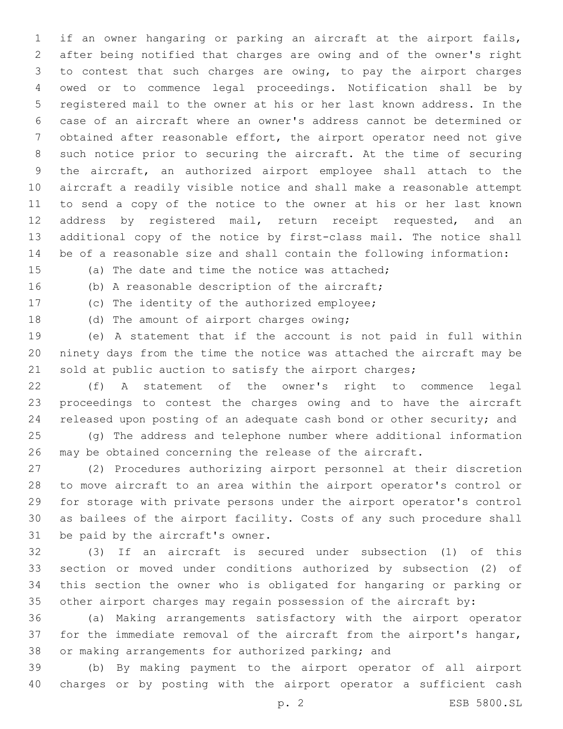if an owner hangaring or parking an aircraft at the airport fails, after being notified that charges are owing and of the owner's right to contest that such charges are owing, to pay the airport charges owed or to commence legal proceedings. Notification shall be by registered mail to the owner at his or her last known address. In the case of an aircraft where an owner's address cannot be determined or obtained after reasonable effort, the airport operator need not give such notice prior to securing the aircraft. At the time of securing the aircraft, an authorized airport employee shall attach to the aircraft a readily visible notice and shall make a reasonable attempt to send a copy of the notice to the owner at his or her last known 12 address by registered mail, return receipt requested, and an additional copy of the notice by first-class mail. The notice shall be of a reasonable size and shall contain the following information:

(a) The date and time the notice was attached;

16 (b) A reasonable description of the aircraft;

17 (c) The identity of the authorized employee;

18 (d) The amount of airport charges owing;

 (e) A statement that if the account is not paid in full within ninety days from the time the notice was attached the aircraft may be 21 sold at public auction to satisfy the airport charges;

 (f) A statement of the owner's right to commence legal proceedings to contest the charges owing and to have the aircraft released upon posting of an adequate cash bond or other security; and

 (g) The address and telephone number where additional information may be obtained concerning the release of the aircraft.

 (2) Procedures authorizing airport personnel at their discretion to move aircraft to an area within the airport operator's control or for storage with private persons under the airport operator's control as bailees of the airport facility. Costs of any such procedure shall 31 be paid by the aircraft's owner.

 (3) If an aircraft is secured under subsection (1) of this section or moved under conditions authorized by subsection (2) of this section the owner who is obligated for hangaring or parking or other airport charges may regain possession of the aircraft by:

 (a) Making arrangements satisfactory with the airport operator for the immediate removal of the aircraft from the airport's hangar, or making arrangements for authorized parking; and

 (b) By making payment to the airport operator of all airport charges or by posting with the airport operator a sufficient cash

p. 2 ESB 5800.SL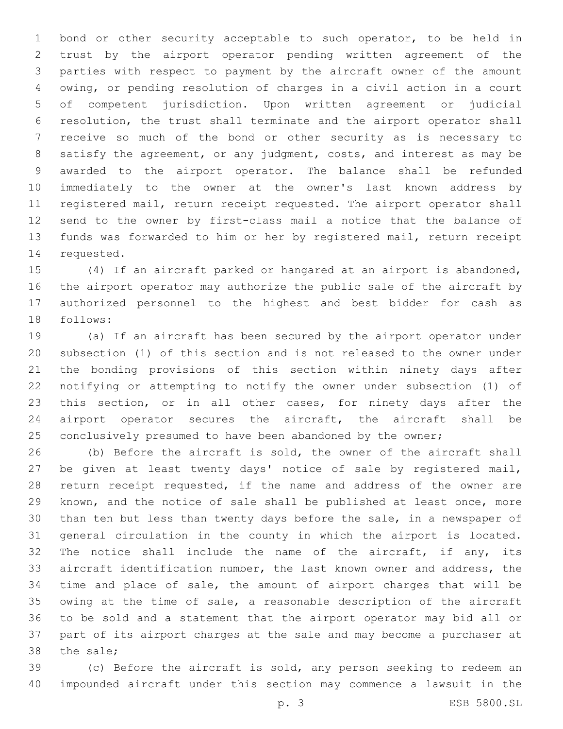bond or other security acceptable to such operator, to be held in trust by the airport operator pending written agreement of the parties with respect to payment by the aircraft owner of the amount owing, or pending resolution of charges in a civil action in a court of competent jurisdiction. Upon written agreement or judicial resolution, the trust shall terminate and the airport operator shall receive so much of the bond or other security as is necessary to satisfy the agreement, or any judgment, costs, and interest as may be awarded to the airport operator. The balance shall be refunded immediately to the owner at the owner's last known address by registered mail, return receipt requested. The airport operator shall send to the owner by first-class mail a notice that the balance of funds was forwarded to him or her by registered mail, return receipt 14 requested.

 (4) If an aircraft parked or hangared at an airport is abandoned, the airport operator may authorize the public sale of the aircraft by authorized personnel to the highest and best bidder for cash as 18 follows:

 (a) If an aircraft has been secured by the airport operator under subsection (1) of this section and is not released to the owner under the bonding provisions of this section within ninety days after notifying or attempting to notify the owner under subsection (1) of this section, or in all other cases, for ninety days after the airport operator secures the aircraft, the aircraft shall be 25 conclusively presumed to have been abandoned by the owner;

 (b) Before the aircraft is sold, the owner of the aircraft shall be given at least twenty days' notice of sale by registered mail, return receipt requested, if the name and address of the owner are known, and the notice of sale shall be published at least once, more than ten but less than twenty days before the sale, in a newspaper of general circulation in the county in which the airport is located. The notice shall include the name of the aircraft, if any, its aircraft identification number, the last known owner and address, the time and place of sale, the amount of airport charges that will be owing at the time of sale, a reasonable description of the aircraft to be sold and a statement that the airport operator may bid all or part of its airport charges at the sale and may become a purchaser at 38 the sale;

 (c) Before the aircraft is sold, any person seeking to redeem an impounded aircraft under this section may commence a lawsuit in the

p. 3 ESB 5800.SL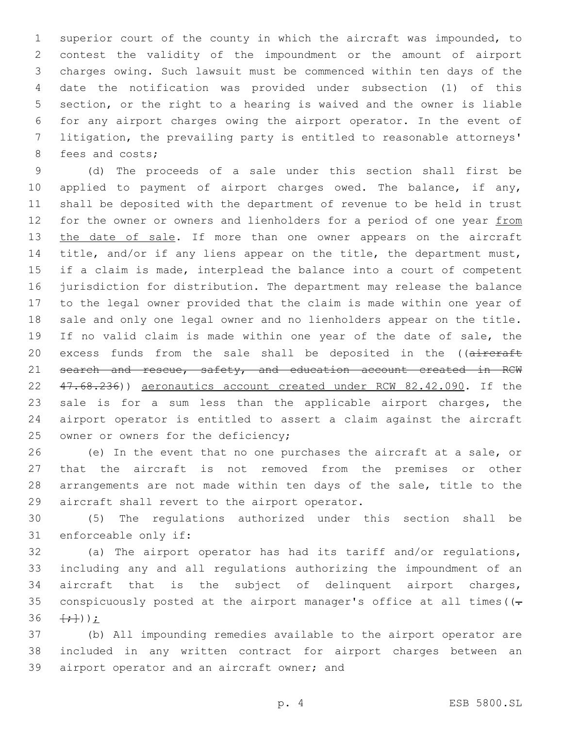superior court of the county in which the aircraft was impounded, to contest the validity of the impoundment or the amount of airport charges owing. Such lawsuit must be commenced within ten days of the date the notification was provided under subsection (1) of this section, or the right to a hearing is waived and the owner is liable for any airport charges owing the airport operator. In the event of litigation, the prevailing party is entitled to reasonable attorneys' 8 fees and costs;

 (d) The proceeds of a sale under this section shall first be 10 applied to payment of airport charges owed. The balance, if any, shall be deposited with the department of revenue to be held in trust 12 for the owner or owners and lienholders for a period of one year from 13 the date of sale. If more than one owner appears on the aircraft title, and/or if any liens appear on the title, the department must, if a claim is made, interplead the balance into a court of competent jurisdiction for distribution. The department may release the balance to the legal owner provided that the claim is made within one year of sale and only one legal owner and no lienholders appear on the title. If no valid claim is made within one year of the date of sale, the 20 excess funds from the sale shall be deposited in the ((aircraft 21 search and rescue, safety, and education account created in RCW 47.68.236)) aeronautics account created under RCW 82.42.090. If the sale is for a sum less than the applicable airport charges, the airport operator is entitled to assert a claim against the aircraft 25 owner or owners for the deficiency;

 (e) In the event that no one purchases the aircraft at a sale, or that the aircraft is not removed from the premises or other arrangements are not made within ten days of the sale, title to the 29 aircraft shall revert to the airport operator.

 (5) The regulations authorized under this section shall be 31 enforceable only if:

 (a) The airport operator has had its tariff and/or regulations, including any and all regulations authorizing the impoundment of an aircraft that is the subject of delinquent airport charges, 35 conspicuously posted at the airport manager's office at all times ( $( \{+\}$ ));

 (b) All impounding remedies available to the airport operator are included in any written contract for airport charges between an 39 airport operator and an aircraft owner; and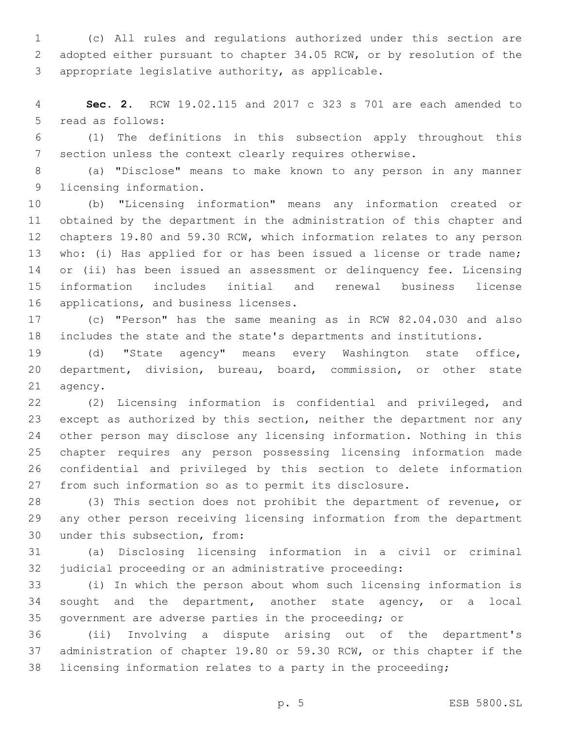(c) All rules and regulations authorized under this section are adopted either pursuant to chapter 34.05 RCW, or by resolution of the 3 appropriate legislative authority, as applicable.

 **Sec. 2.** RCW 19.02.115 and 2017 c 323 s 701 are each amended to 5 read as follows:

 (1) The definitions in this subsection apply throughout this section unless the context clearly requires otherwise.

 (a) "Disclose" means to make known to any person in any manner 9 licensing information.

 (b) "Licensing information" means any information created or obtained by the department in the administration of this chapter and chapters 19.80 and 59.30 RCW, which information relates to any person who: (i) Has applied for or has been issued a license or trade name; or (ii) has been issued an assessment or delinquency fee. Licensing information includes initial and renewal business license 16 applications, and business licenses.

 (c) "Person" has the same meaning as in RCW 82.04.030 and also includes the state and the state's departments and institutions.

 (d) "State agency" means every Washington state office, department, division, bureau, board, commission, or other state 21 agency.

 (2) Licensing information is confidential and privileged, and except as authorized by this section, neither the department nor any other person may disclose any licensing information. Nothing in this chapter requires any person possessing licensing information made confidential and privileged by this section to delete information from such information so as to permit its disclosure.

 (3) This section does not prohibit the department of revenue, or any other person receiving licensing information from the department 30 under this subsection, from:

 (a) Disclosing licensing information in a civil or criminal judicial proceeding or an administrative proceeding:

 (i) In which the person about whom such licensing information is sought and the department, another state agency, or a local government are adverse parties in the proceeding; or

 (ii) Involving a dispute arising out of the department's administration of chapter 19.80 or 59.30 RCW, or this chapter if the licensing information relates to a party in the proceeding;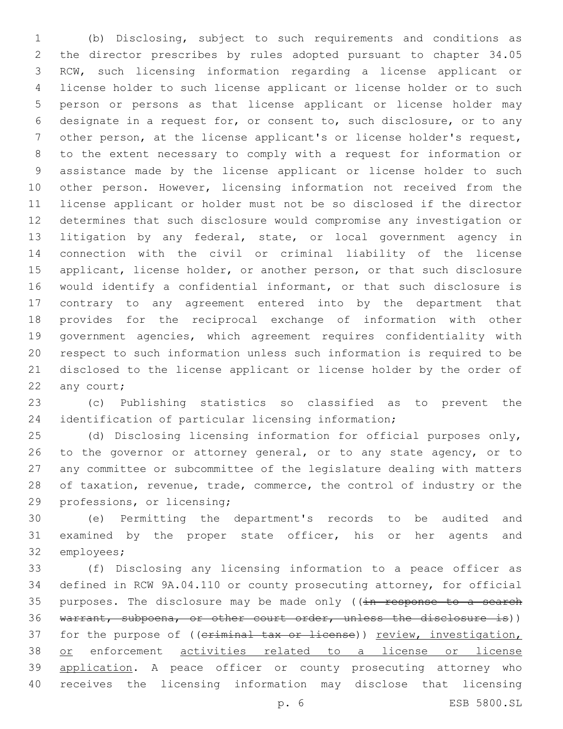(b) Disclosing, subject to such requirements and conditions as the director prescribes by rules adopted pursuant to chapter 34.05 RCW, such licensing information regarding a license applicant or license holder to such license applicant or license holder or to such person or persons as that license applicant or license holder may designate in a request for, or consent to, such disclosure, or to any other person, at the license applicant's or license holder's request, to the extent necessary to comply with a request for information or assistance made by the license applicant or license holder to such other person. However, licensing information not received from the license applicant or holder must not be so disclosed if the director determines that such disclosure would compromise any investigation or litigation by any federal, state, or local government agency in connection with the civil or criminal liability of the license 15 applicant, license holder, or another person, or that such disclosure would identify a confidential informant, or that such disclosure is contrary to any agreement entered into by the department that provides for the reciprocal exchange of information with other government agencies, which agreement requires confidentiality with respect to such information unless such information is required to be disclosed to the license applicant or license holder by the order of 22 any court;

 (c) Publishing statistics so classified as to prevent the identification of particular licensing information;

 (d) Disclosing licensing information for official purposes only, 26 to the governor or attorney general, or to any state agency, or to any committee or subcommittee of the legislature dealing with matters 28 of taxation, revenue, trade, commerce, the control of industry or the 29 professions, or licensing;

 (e) Permitting the department's records to be audited and examined by the proper state officer, his or her agents and 32 employees;

 (f) Disclosing any licensing information to a peace officer as defined in RCW 9A.04.110 or county prosecuting attorney, for official 35 purposes. The disclosure may be made only ((in response to a search warrant, subpoena, or other court order, unless the disclosure is)) 37 for the purpose of ((criminal tax or license)) review, investigation, 38 or enforcement activities related to a license or license 39 application. A peace officer or county prosecuting attorney who receives the licensing information may disclose that licensing

p. 6 ESB 5800.SL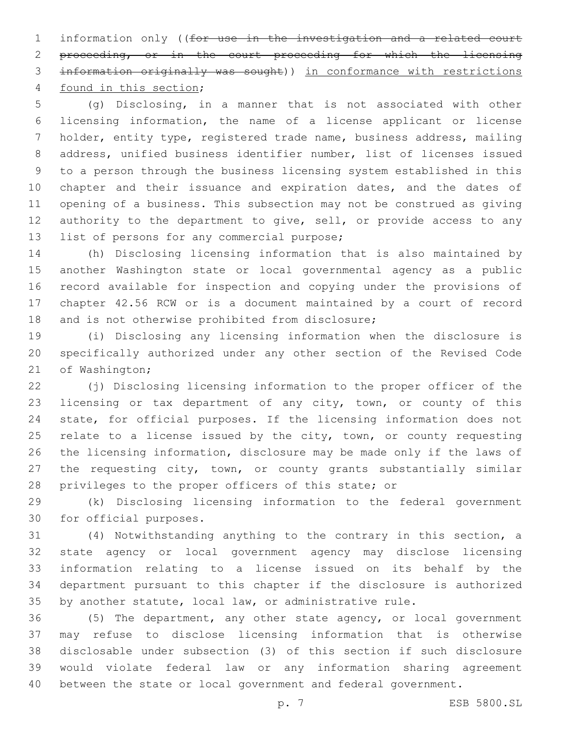information only ((for use in the investigation and a related court proceeding, or in the court proceeding for which the licensing information originally was sought)) in conformance with restrictions 4 found in this section;

 (g) Disclosing, in a manner that is not associated with other licensing information, the name of a license applicant or license holder, entity type, registered trade name, business address, mailing address, unified business identifier number, list of licenses issued to a person through the business licensing system established in this 10 chapter and their issuance and expiration dates, and the dates of opening of a business. This subsection may not be construed as giving 12 authority to the department to give, sell, or provide access to any 13 list of persons for any commercial purpose;

 (h) Disclosing licensing information that is also maintained by another Washington state or local governmental agency as a public record available for inspection and copying under the provisions of chapter 42.56 RCW or is a document maintained by a court of record 18 and is not otherwise prohibited from disclosure;

 (i) Disclosing any licensing information when the disclosure is specifically authorized under any other section of the Revised Code 21 of Washington;

22 (i) Disclosing licensing information to the proper officer of the licensing or tax department of any city, town, or county of this state, for official purposes. If the licensing information does not 25 relate to a license issued by the city, town, or county requesting the licensing information, disclosure may be made only if the laws of the requesting city, town, or county grants substantially similar privileges to the proper officers of this state; or

 (k) Disclosing licensing information to the federal government 30 for official purposes.

 (4) Notwithstanding anything to the contrary in this section, a state agency or local government agency may disclose licensing information relating to a license issued on its behalf by the department pursuant to this chapter if the disclosure is authorized by another statute, local law, or administrative rule.

 (5) The department, any other state agency, or local government may refuse to disclose licensing information that is otherwise disclosable under subsection (3) of this section if such disclosure would violate federal law or any information sharing agreement between the state or local government and federal government.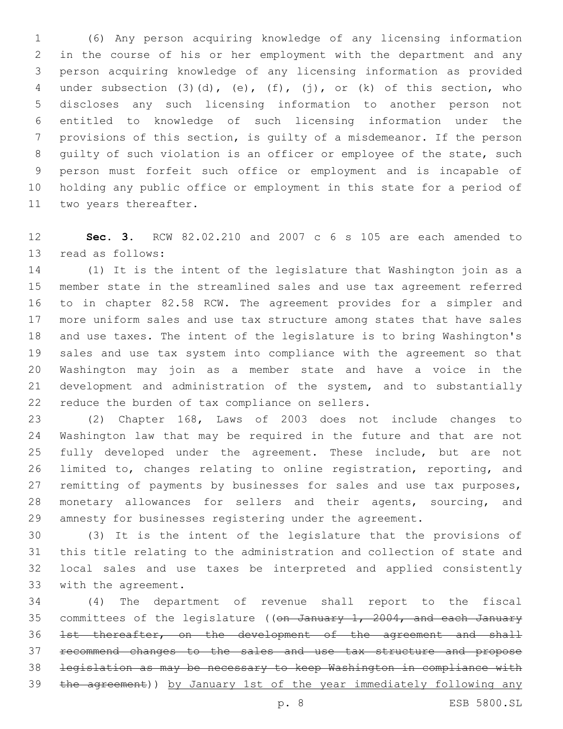(6) Any person acquiring knowledge of any licensing information in the course of his or her employment with the department and any person acquiring knowledge of any licensing information as provided under subsection (3)(d), (e), (f), (j), or (k) of this section, who discloses any such licensing information to another person not entitled to knowledge of such licensing information under the provisions of this section, is guilty of a misdemeanor. If the person guilty of such violation is an officer or employee of the state, such person must forfeit such office or employment and is incapable of holding any public office or employment in this state for a period of 11 two years thereafter.

 **Sec. 3.** RCW 82.02.210 and 2007 c 6 s 105 are each amended to 13 read as follows:

 (1) It is the intent of the legislature that Washington join as a member state in the streamlined sales and use tax agreement referred to in chapter 82.58 RCW. The agreement provides for a simpler and more uniform sales and use tax structure among states that have sales and use taxes. The intent of the legislature is to bring Washington's sales and use tax system into compliance with the agreement so that Washington may join as a member state and have a voice in the development and administration of the system, and to substantially 22 reduce the burden of tax compliance on sellers.

 (2) Chapter 168, Laws of 2003 does not include changes to Washington law that may be required in the future and that are not fully developed under the agreement. These include, but are not limited to, changes relating to online registration, reporting, and remitting of payments by businesses for sales and use tax purposes, monetary allowances for sellers and their agents, sourcing, and amnesty for businesses registering under the agreement.

 (3) It is the intent of the legislature that the provisions of this title relating to the administration and collection of state and local sales and use taxes be interpreted and applied consistently 33 with the agreement.

 (4) The department of revenue shall report to the fiscal 35 committees of the legislature ((on January 1, 2004, and each January 1st thereafter, on the development of the agreement and shall recommend changes to the sales and use tax structure and propose legislation as may be necessary to keep Washington in compliance with the agreement)) by January 1st of the year immediately following any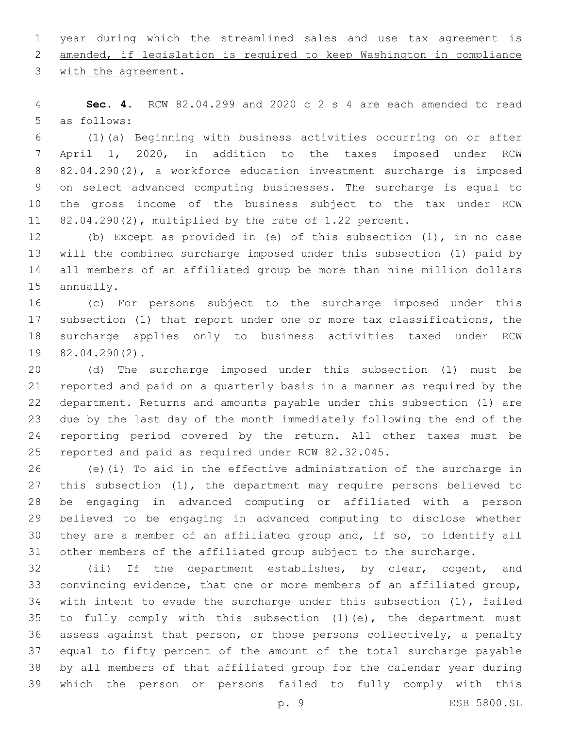year during which the streamlined sales and use tax agreement is

amended, if legislation is required to keep Washington in compliance

3 with the agreement.

 **Sec. 4.** RCW 82.04.299 and 2020 c 2 s 4 are each amended to read 5 as follows:

 (1)(a) Beginning with business activities occurring on or after April 1, 2020, in addition to the taxes imposed under RCW 82.04.290(2), a workforce education investment surcharge is imposed on select advanced computing businesses. The surcharge is equal to the gross income of the business subject to the tax under RCW 82.04.290(2), multiplied by the rate of 1.22 percent.

 (b) Except as provided in (e) of this subsection (1), in no case will the combined surcharge imposed under this subsection (1) paid by all members of an affiliated group be more than nine million dollars 15 annually.

 (c) For persons subject to the surcharge imposed under this subsection (1) that report under one or more tax classifications, the surcharge applies only to business activities taxed under RCW 19 82.04.290(2).

 (d) The surcharge imposed under this subsection (1) must be reported and paid on a quarterly basis in a manner as required by the department. Returns and amounts payable under this subsection (1) are due by the last day of the month immediately following the end of the reporting period covered by the return. All other taxes must be reported and paid as required under RCW 82.32.045.

 (e)(i) To aid in the effective administration of the surcharge in this subsection (1), the department may require persons believed to be engaging in advanced computing or affiliated with a person believed to be engaging in advanced computing to disclose whether they are a member of an affiliated group and, if so, to identify all other members of the affiliated group subject to the surcharge.

 (ii) If the department establishes, by clear, cogent, and convincing evidence, that one or more members of an affiliated group, with intent to evade the surcharge under this subsection (1), failed to fully comply with this subsection (1)(e), the department must assess against that person, or those persons collectively, a penalty equal to fifty percent of the amount of the total surcharge payable by all members of that affiliated group for the calendar year during which the person or persons failed to fully comply with this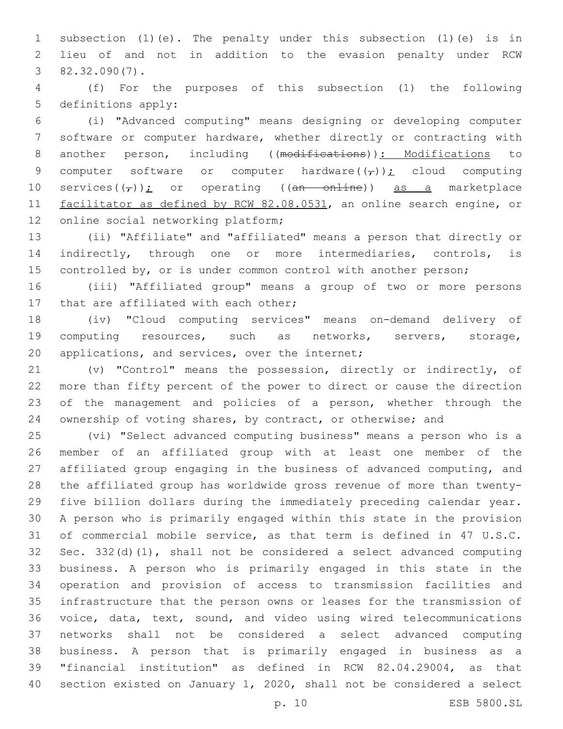subsection (1)(e). The penalty under this subsection (1)(e) is in lieu of and not in addition to the evasion penalty under RCW  $382.32.090(7)$ .

 (f) For the purposes of this subsection (1) the following 5 definitions apply:

 (i) "Advanced computing" means designing or developing computer software or computer hardware, whether directly or contracting with 8 another person, including ((modifications)): Modifications to 9 computer software or computer hardware( $(\tau)$ ); cloud computing 10 services $((\tau))$ ; or operating ((an online)) as a marketplace facilitator as defined by RCW 82.08.0531, an online search engine, or 12 online social networking platform;

 (ii) "Affiliate" and "affiliated" means a person that directly or indirectly, through one or more intermediaries, controls, is controlled by, or is under common control with another person;

 (iii) "Affiliated group" means a group of two or more persons 17 that are affiliated with each other;

 (iv) "Cloud computing services" means on-demand delivery of computing resources, such as networks, servers, storage, 20 applications, and services, over the internet;

 (v) "Control" means the possession, directly or indirectly, of more than fifty percent of the power to direct or cause the direction of the management and policies of a person, whether through the ownership of voting shares, by contract, or otherwise; and

 (vi) "Select advanced computing business" means a person who is a member of an affiliated group with at least one member of the affiliated group engaging in the business of advanced computing, and the affiliated group has worldwide gross revenue of more than twenty- five billion dollars during the immediately preceding calendar year. A person who is primarily engaged within this state in the provision of commercial mobile service, as that term is defined in 47 U.S.C. Sec. 332(d)(1), shall not be considered a select advanced computing business. A person who is primarily engaged in this state in the operation and provision of access to transmission facilities and infrastructure that the person owns or leases for the transmission of voice, data, text, sound, and video using wired telecommunications networks shall not be considered a select advanced computing business. A person that is primarily engaged in business as a "financial institution" as defined in RCW 82.04.29004, as that section existed on January 1, 2020, shall not be considered a select

p. 10 ESB 5800.SL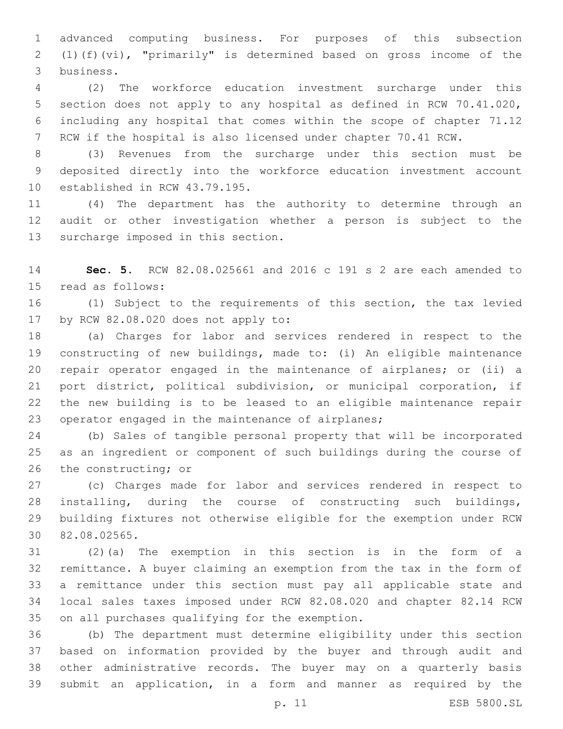advanced computing business. For purposes of this subsection (1)(f)(vi), "primarily" is determined based on gross income of the business.3

 (2) The workforce education investment surcharge under this section does not apply to any hospital as defined in RCW 70.41.020, including any hospital that comes within the scope of chapter 71.12 RCW if the hospital is also licensed under chapter 70.41 RCW.

 (3) Revenues from the surcharge under this section must be deposited directly into the workforce education investment account 10 established in RCW 43.79.195.

 (4) The department has the authority to determine through an audit or other investigation whether a person is subject to the 13 surcharge imposed in this section.

 **Sec. 5.** RCW 82.08.025661 and 2016 c 191 s 2 are each amended to 15 read as follows:

 (1) Subject to the requirements of this section, the tax levied 17 by RCW 82.08.020 does not apply to:

 (a) Charges for labor and services rendered in respect to the constructing of new buildings, made to: (i) An eligible maintenance repair operator engaged in the maintenance of airplanes; or (ii) a port district, political subdivision, or municipal corporation, if the new building is to be leased to an eligible maintenance repair 23 operator engaged in the maintenance of airplanes;

 (b) Sales of tangible personal property that will be incorporated as an ingredient or component of such buildings during the course of 26 the constructing; or

 (c) Charges made for labor and services rendered in respect to installing, during the course of constructing such buildings, building fixtures not otherwise eligible for the exemption under RCW 82.08.02565.30

 (2)(a) The exemption in this section is in the form of a remittance. A buyer claiming an exemption from the tax in the form of a remittance under this section must pay all applicable state and local sales taxes imposed under RCW 82.08.020 and chapter 82.14 RCW 35 on all purchases qualifying for the exemption.

 (b) The department must determine eligibility under this section based on information provided by the buyer and through audit and other administrative records. The buyer may on a quarterly basis submit an application, in a form and manner as required by the

p. 11 ESB 5800.SL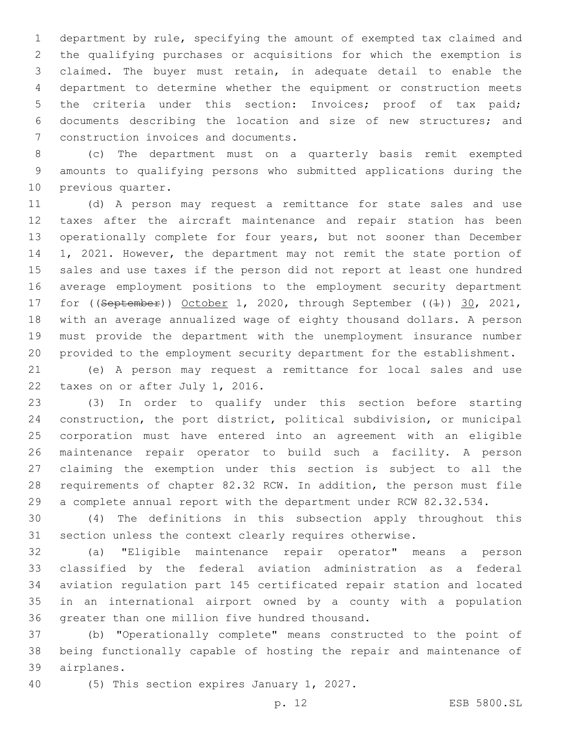department by rule, specifying the amount of exempted tax claimed and the qualifying purchases or acquisitions for which the exemption is claimed. The buyer must retain, in adequate detail to enable the department to determine whether the equipment or construction meets the criteria under this section: Invoices; proof of tax paid; documents describing the location and size of new structures; and 7 construction invoices and documents.

 (c) The department must on a quarterly basis remit exempted amounts to qualifying persons who submitted applications during the 10 previous quarter.

 (d) A person may request a remittance for state sales and use taxes after the aircraft maintenance and repair station has been operationally complete for four years, but not sooner than December 1, 2021. However, the department may not remit the state portion of sales and use taxes if the person did not report at least one hundred average employment positions to the employment security department 17 for ((September)) October 1, 2020, through September ((4)) 30, 2021, with an average annualized wage of eighty thousand dollars. A person must provide the department with the unemployment insurance number provided to the employment security department for the establishment.

 (e) A person may request a remittance for local sales and use 22 taxes on or after July 1, 2016.

 (3) In order to qualify under this section before starting construction, the port district, political subdivision, or municipal corporation must have entered into an agreement with an eligible maintenance repair operator to build such a facility. A person claiming the exemption under this section is subject to all the requirements of chapter 82.32 RCW. In addition, the person must file a complete annual report with the department under RCW 82.32.534.

 (4) The definitions in this subsection apply throughout this section unless the context clearly requires otherwise.

 (a) "Eligible maintenance repair operator" means a person classified by the federal aviation administration as a federal aviation regulation part 145 certificated repair station and located in an international airport owned by a county with a population 36 greater than one million five hundred thousand.

 (b) "Operationally complete" means constructed to the point of being functionally capable of hosting the repair and maintenance of airplanes.39

40 (5) This section expires January 1, 2027.

p. 12 ESB 5800.SL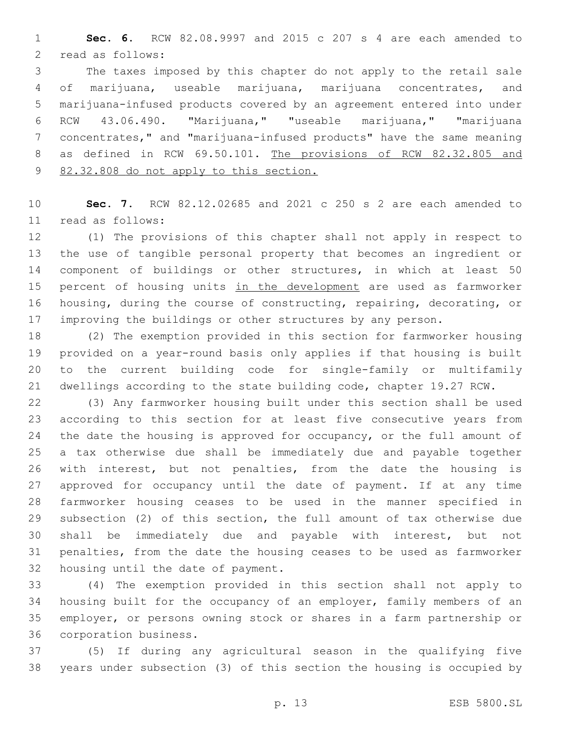**Sec. 6.** RCW 82.08.9997 and 2015 c 207 s 4 are each amended to 2 read as follows:

 The taxes imposed by this chapter do not apply to the retail sale of marijuana, useable marijuana, marijuana concentrates, and marijuana-infused products covered by an agreement entered into under RCW 43.06.490. "Marijuana," "useable marijuana," "marijuana concentrates," and "marijuana-infused products" have the same meaning as defined in RCW 69.50.101. The provisions of RCW 82.32.805 and 82.32.808 do not apply to this section.

 **Sec. 7.** RCW 82.12.02685 and 2021 c 250 s 2 are each amended to read as follows:11

 (1) The provisions of this chapter shall not apply in respect to the use of tangible personal property that becomes an ingredient or component of buildings or other structures, in which at least 50 15 percent of housing units in the development are used as farmworker housing, during the course of constructing, repairing, decorating, or 17 improving the buildings or other structures by any person.

 (2) The exemption provided in this section for farmworker housing provided on a year-round basis only applies if that housing is built to the current building code for single-family or multifamily dwellings according to the state building code, chapter 19.27 RCW.

 (3) Any farmworker housing built under this section shall be used according to this section for at least five consecutive years from 24 the date the housing is approved for occupancy, or the full amount of a tax otherwise due shall be immediately due and payable together with interest, but not penalties, from the date the housing is approved for occupancy until the date of payment. If at any time farmworker housing ceases to be used in the manner specified in subsection (2) of this section, the full amount of tax otherwise due shall be immediately due and payable with interest, but not penalties, from the date the housing ceases to be used as farmworker 32 housing until the date of payment.

 (4) The exemption provided in this section shall not apply to housing built for the occupancy of an employer, family members of an employer, or persons owning stock or shares in a farm partnership or 36 corporation business.

 (5) If during any agricultural season in the qualifying five years under subsection (3) of this section the housing is occupied by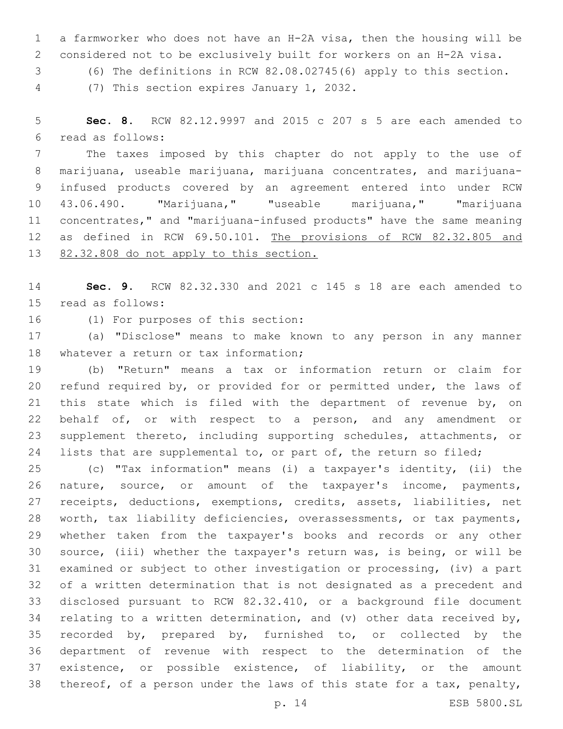a farmworker who does not have an H-2A visa, then the housing will be considered not to be exclusively built for workers on an H-2A visa.

(6) The definitions in RCW 82.08.02745(6) apply to this section.

(7) This section expires January 1, 2032.4

 **Sec. 8.** RCW 82.12.9997 and 2015 c 207 s 5 are each amended to read as follows:6

 The taxes imposed by this chapter do not apply to the use of marijuana, useable marijuana, marijuana concentrates, and marijuana- infused products covered by an agreement entered into under RCW 43.06.490. "Marijuana," "useable marijuana," "marijuana concentrates," and "marijuana-infused products" have the same meaning 12 as defined in RCW 69.50.101. The provisions of RCW 82.32.805 and 82.32.808 do not apply to this section.

 **Sec. 9.** RCW 82.32.330 and 2021 c 145 s 18 are each amended to 15 read as follows:

16 (1) For purposes of this section:

 (a) "Disclose" means to make known to any person in any manner 18 whatever a return or tax information;

 (b) "Return" means a tax or information return or claim for refund required by, or provided for or permitted under, the laws of 21 this state which is filed with the department of revenue by, on behalf of, or with respect to a person, and any amendment or supplement thereto, including supporting schedules, attachments, or lists that are supplemental to, or part of, the return so filed;

 (c) "Tax information" means (i) a taxpayer's identity, (ii) the nature, source, or amount of the taxpayer's income, payments, receipts, deductions, exemptions, credits, assets, liabilities, net worth, tax liability deficiencies, overassessments, or tax payments, whether taken from the taxpayer's books and records or any other source, (iii) whether the taxpayer's return was, is being, or will be examined or subject to other investigation or processing, (iv) a part of a written determination that is not designated as a precedent and disclosed pursuant to RCW 82.32.410, or a background file document 34 relating to a written determination, and (v) other data received by, recorded by, prepared by, furnished to, or collected by the department of revenue with respect to the determination of the existence, or possible existence, of liability, or the amount thereof, of a person under the laws of this state for a tax, penalty,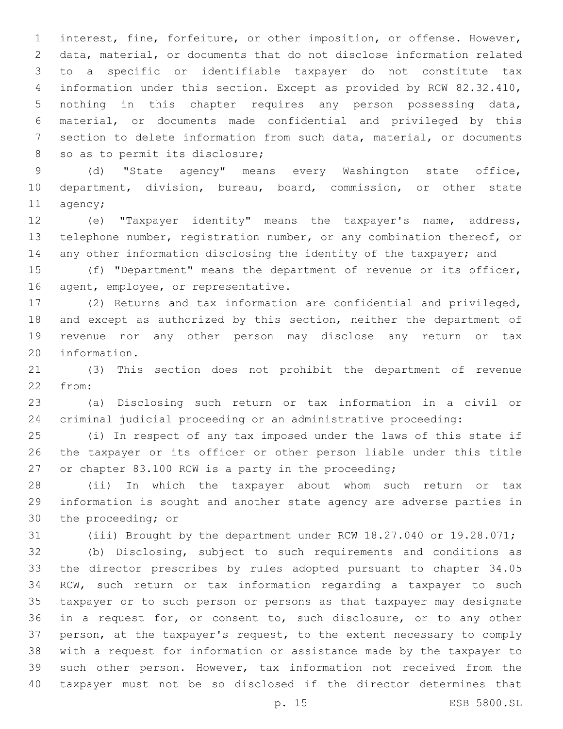interest, fine, forfeiture, or other imposition, or offense. However, data, material, or documents that do not disclose information related to a specific or identifiable taxpayer do not constitute tax information under this section. Except as provided by RCW 82.32.410, nothing in this chapter requires any person possessing data, material, or documents made confidential and privileged by this section to delete information from such data, material, or documents 8 so as to permit its disclosure;

 (d) "State agency" means every Washington state office, department, division, bureau, board, commission, or other state 11 agency;

 (e) "Taxpayer identity" means the taxpayer's name, address, telephone number, registration number, or any combination thereof, or 14 any other information disclosing the identity of the taxpayer; and

 (f) "Department" means the department of revenue or its officer, 16 agent, employee, or representative.

 (2) Returns and tax information are confidential and privileged, and except as authorized by this section, neither the department of revenue nor any other person may disclose any return or tax 20 information.

 (3) This section does not prohibit the department of revenue 22 from:

 (a) Disclosing such return or tax information in a civil or criminal judicial proceeding or an administrative proceeding:

 (i) In respect of any tax imposed under the laws of this state if the taxpayer or its officer or other person liable under this title or chapter 83.100 RCW is a party in the proceeding;

 (ii) In which the taxpayer about whom such return or tax information is sought and another state agency are adverse parties in 30 the proceeding; or

(iii) Brought by the department under RCW 18.27.040 or 19.28.071;

 (b) Disclosing, subject to such requirements and conditions as the director prescribes by rules adopted pursuant to chapter 34.05 RCW, such return or tax information regarding a taxpayer to such taxpayer or to such person or persons as that taxpayer may designate in a request for, or consent to, such disclosure, or to any other person, at the taxpayer's request, to the extent necessary to comply with a request for information or assistance made by the taxpayer to such other person. However, tax information not received from the taxpayer must not be so disclosed if the director determines that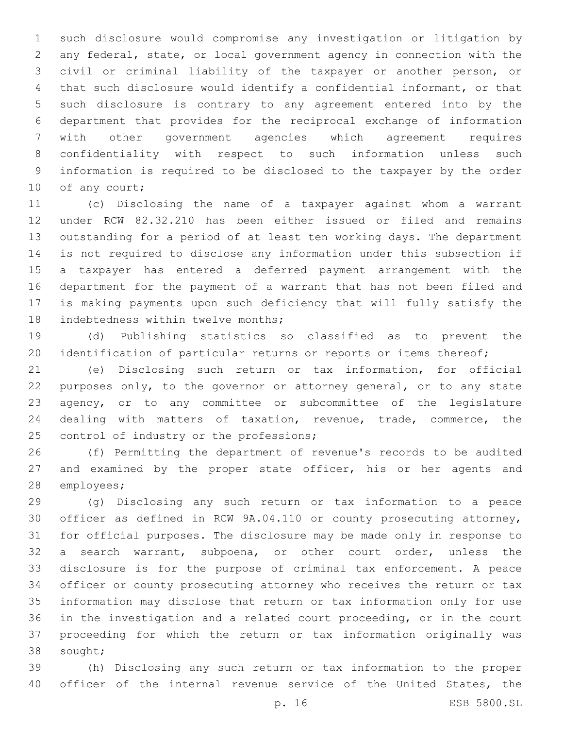such disclosure would compromise any investigation or litigation by any federal, state, or local government agency in connection with the civil or criminal liability of the taxpayer or another person, or that such disclosure would identify a confidential informant, or that such disclosure is contrary to any agreement entered into by the department that provides for the reciprocal exchange of information with other government agencies which agreement requires confidentiality with respect to such information unless such information is required to be disclosed to the taxpayer by the order 10 of any court;

 (c) Disclosing the name of a taxpayer against whom a warrant under RCW 82.32.210 has been either issued or filed and remains outstanding for a period of at least ten working days. The department is not required to disclose any information under this subsection if a taxpayer has entered a deferred payment arrangement with the department for the payment of a warrant that has not been filed and is making payments upon such deficiency that will fully satisfy the 18 indebtedness within twelve months;

 (d) Publishing statistics so classified as to prevent the 20 identification of particular returns or reports or items thereof;

 (e) Disclosing such return or tax information, for official purposes only, to the governor or attorney general, or to any state agency, or to any committee or subcommittee of the legislature dealing with matters of taxation, revenue, trade, commerce, the 25 control of industry or the professions;

 (f) Permitting the department of revenue's records to be audited and examined by the proper state officer, his or her agents and 28 employees;

 (g) Disclosing any such return or tax information to a peace officer as defined in RCW 9A.04.110 or county prosecuting attorney, for official purposes. The disclosure may be made only in response to a search warrant, subpoena, or other court order, unless the disclosure is for the purpose of criminal tax enforcement. A peace officer or county prosecuting attorney who receives the return or tax information may disclose that return or tax information only for use in the investigation and a related court proceeding, or in the court proceeding for which the return or tax information originally was 38 sought;

 (h) Disclosing any such return or tax information to the proper officer of the internal revenue service of the United States, the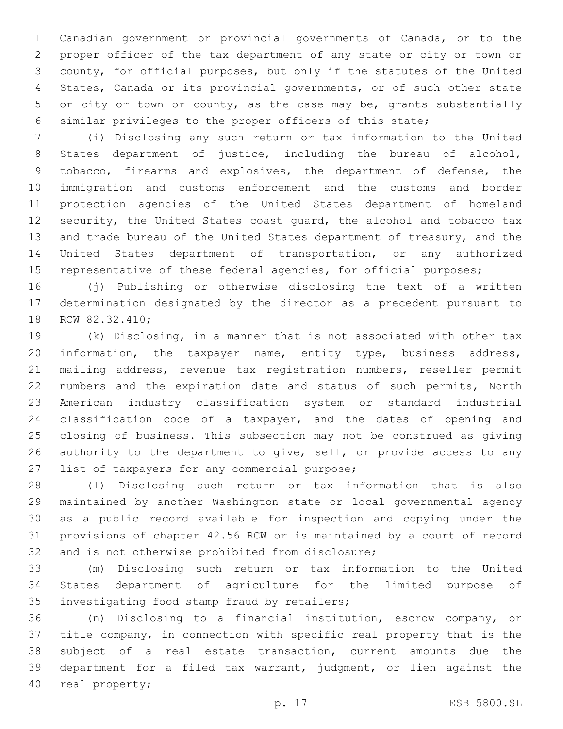Canadian government or provincial governments of Canada, or to the proper officer of the tax department of any state or city or town or county, for official purposes, but only if the statutes of the United States, Canada or its provincial governments, or of such other state 5 or city or town or county, as the case may be, grants substantially similar privileges to the proper officers of this state;

 (i) Disclosing any such return or tax information to the United States department of justice, including the bureau of alcohol, tobacco, firearms and explosives, the department of defense, the immigration and customs enforcement and the customs and border protection agencies of the United States department of homeland security, the United States coast guard, the alcohol and tobacco tax and trade bureau of the United States department of treasury, and the United States department of transportation, or any authorized 15 representative of these federal agencies, for official purposes;

 (j) Publishing or otherwise disclosing the text of a written determination designated by the director as a precedent pursuant to 18 RCW 82.32.410;

 (k) Disclosing, in a manner that is not associated with other tax information, the taxpayer name, entity type, business address, mailing address, revenue tax registration numbers, reseller permit numbers and the expiration date and status of such permits, North American industry classification system or standard industrial classification code of a taxpayer, and the dates of opening and closing of business. This subsection may not be construed as giving 26 authority to the department to give, sell, or provide access to any 27 list of taxpayers for any commercial purpose;

 (l) Disclosing such return or tax information that is also maintained by another Washington state or local governmental agency as a public record available for inspection and copying under the provisions of chapter 42.56 RCW or is maintained by a court of record 32 and is not otherwise prohibited from disclosure;

 (m) Disclosing such return or tax information to the United States department of agriculture for the limited purpose of 35 investigating food stamp fraud by retailers;

 (n) Disclosing to a financial institution, escrow company, or title company, in connection with specific real property that is the subject of a real estate transaction, current amounts due the department for a filed tax warrant, judgment, or lien against the 40 real property;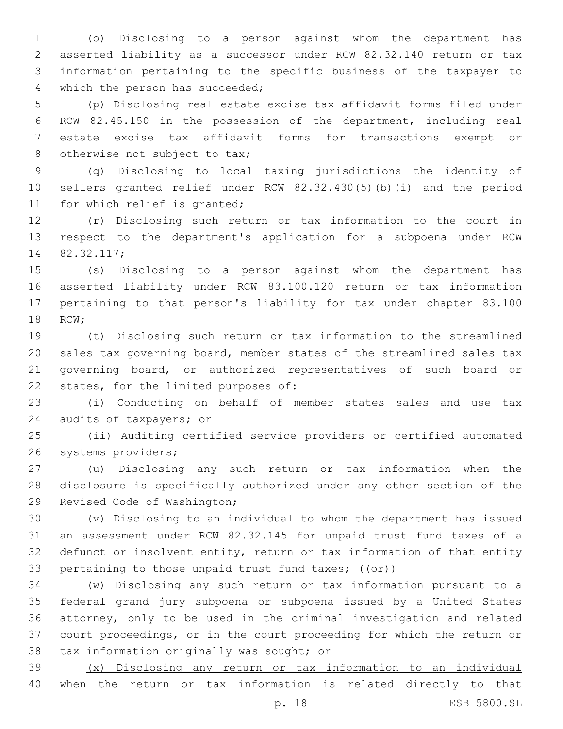(o) Disclosing to a person against whom the department has asserted liability as a successor under RCW 82.32.140 return or tax information pertaining to the specific business of the taxpayer to 4 which the person has succeeded;

 (p) Disclosing real estate excise tax affidavit forms filed under RCW 82.45.150 in the possession of the department, including real estate excise tax affidavit forms for transactions exempt or 8 otherwise not subject to tax;

 (q) Disclosing to local taxing jurisdictions the identity of sellers granted relief under RCW 82.32.430(5)(b)(i) and the period 11 for which relief is granted;

 (r) Disclosing such return or tax information to the court in respect to the department's application for a subpoena under RCW 82.32.117;14

 (s) Disclosing to a person against whom the department has asserted liability under RCW 83.100.120 return or tax information pertaining to that person's liability for tax under chapter 83.100 18 RCW;

 (t) Disclosing such return or tax information to the streamlined sales tax governing board, member states of the streamlined sales tax governing board, or authorized representatives of such board or 22 states, for the limited purposes of:

 (i) Conducting on behalf of member states sales and use tax 24 audits of taxpayers; or

 (ii) Auditing certified service providers or certified automated 26 systems providers;

 (u) Disclosing any such return or tax information when the disclosure is specifically authorized under any other section of the 29 Revised Code of Washington;

 (v) Disclosing to an individual to whom the department has issued an assessment under RCW 82.32.145 for unpaid trust fund taxes of a defunct or insolvent entity, return or tax information of that entity 33 pertaining to those unpaid trust fund taxes;  $((\Theta \oplus))$ 

 (w) Disclosing any such return or tax information pursuant to a federal grand jury subpoena or subpoena issued by a United States attorney, only to be used in the criminal investigation and related court proceedings, or in the court proceeding for which the return or 38 tax information originally was sought; or

 (x) Disclosing any return or tax information to an individual when the return or tax information is related directly to that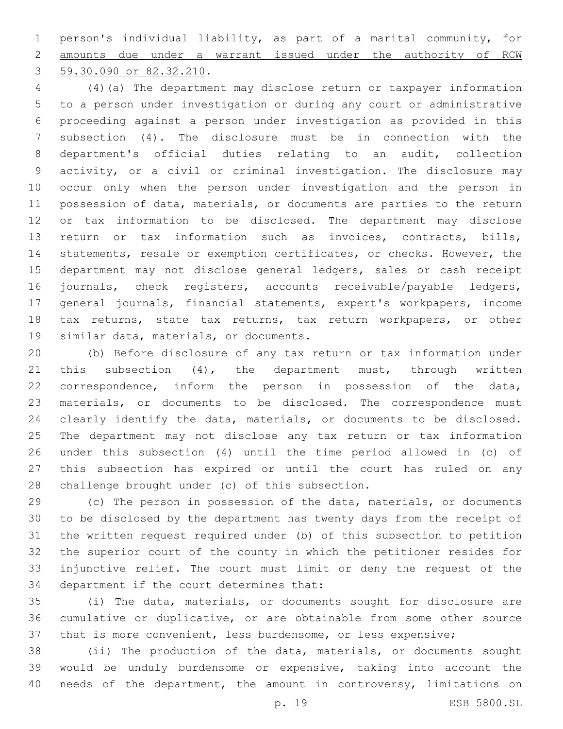person's individual liability, as part of a marital community, for amounts due under a warrant issued under the authority of RCW 3 59.30.090 or 82.32.210.

 (4)(a) The department may disclose return or taxpayer information to a person under investigation or during any court or administrative proceeding against a person under investigation as provided in this subsection (4). The disclosure must be in connection with the department's official duties relating to an audit, collection activity, or a civil or criminal investigation. The disclosure may occur only when the person under investigation and the person in possession of data, materials, or documents are parties to the return or tax information to be disclosed. The department may disclose return or tax information such as invoices, contracts, bills, statements, resale or exemption certificates, or checks. However, the department may not disclose general ledgers, sales or cash receipt journals, check registers, accounts receivable/payable ledgers, general journals, financial statements, expert's workpapers, income tax returns, state tax returns, tax return workpapers, or other 19 similar data, materials, or documents.

 (b) Before disclosure of any tax return or tax information under 21 this subsection (4), the department must, through written correspondence, inform the person in possession of the data, materials, or documents to be disclosed. The correspondence must clearly identify the data, materials, or documents to be disclosed. The department may not disclose any tax return or tax information under this subsection (4) until the time period allowed in (c) of this subsection has expired or until the court has ruled on any 28 challenge brought under (c) of this subsection.

 (c) The person in possession of the data, materials, or documents to be disclosed by the department has twenty days from the receipt of the written request required under (b) of this subsection to petition the superior court of the county in which the petitioner resides for injunctive relief. The court must limit or deny the request of the 34 department if the court determines that:

 (i) The data, materials, or documents sought for disclosure are cumulative or duplicative, or are obtainable from some other source that is more convenient, less burdensome, or less expensive;

 (ii) The production of the data, materials, or documents sought would be unduly burdensome or expensive, taking into account the needs of the department, the amount in controversy, limitations on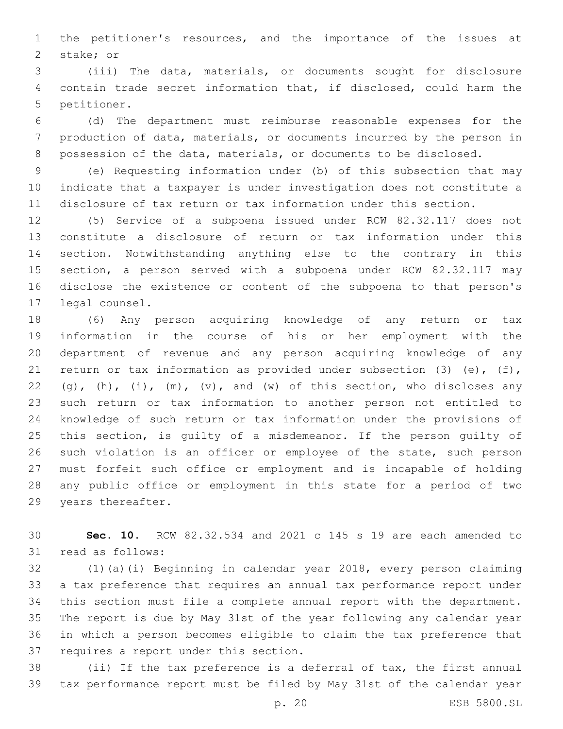the petitioner's resources, and the importance of the issues at 2 stake; or

 (iii) The data, materials, or documents sought for disclosure contain trade secret information that, if disclosed, could harm the 5 petitioner.

 (d) The department must reimburse reasonable expenses for the production of data, materials, or documents incurred by the person in possession of the data, materials, or documents to be disclosed.

 (e) Requesting information under (b) of this subsection that may indicate that a taxpayer is under investigation does not constitute a disclosure of tax return or tax information under this section.

 (5) Service of a subpoena issued under RCW 82.32.117 does not constitute a disclosure of return or tax information under this section. Notwithstanding anything else to the contrary in this section, a person served with a subpoena under RCW 82.32.117 may disclose the existence or content of the subpoena to that person's 17 legal counsel.

 (6) Any person acquiring knowledge of any return or tax information in the course of his or her employment with the department of revenue and any person acquiring knowledge of any return or tax information as provided under subsection (3) (e), (f), 22 (g),  $(h)$ ,  $(i)$ ,  $(m)$ ,  $(v)$ , and  $(w)$  of this section, who discloses any such return or tax information to another person not entitled to knowledge of such return or tax information under the provisions of 25 this section, is quilty of a misdemeanor. If the person quilty of such violation is an officer or employee of the state, such person must forfeit such office or employment and is incapable of holding any public office or employment in this state for a period of two 29 years thereafter.

 **Sec. 10.** RCW 82.32.534 and 2021 c 145 s 19 are each amended to 31 read as follows:

 (1)(a)(i) Beginning in calendar year 2018, every person claiming a tax preference that requires an annual tax performance report under this section must file a complete annual report with the department. The report is due by May 31st of the year following any calendar year in which a person becomes eligible to claim the tax preference that 37 requires a report under this section.

 (ii) If the tax preference is a deferral of tax, the first annual tax performance report must be filed by May 31st of the calendar year

p. 20 ESB 5800.SL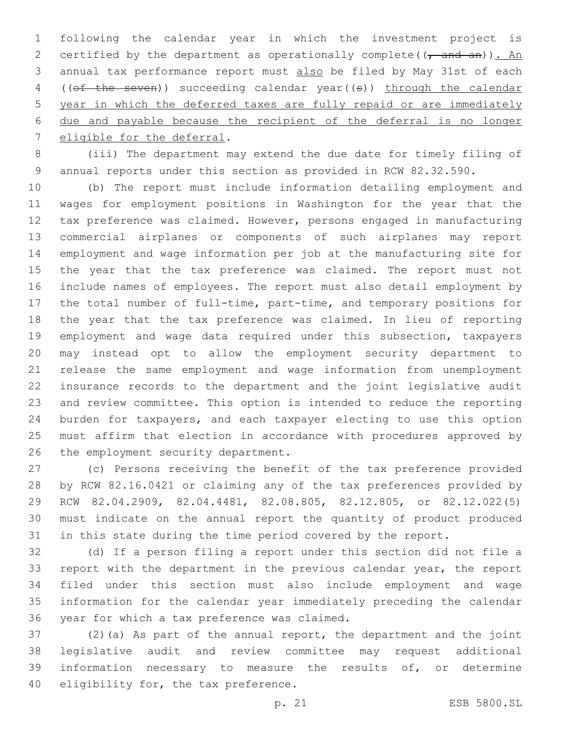following the calendar year in which the investment project is 2 certified by the department as operationally complete( $(\tau$  and an)). An annual tax performance report must also be filed by May 31st of each ((of the seven)) succeeding calendar year((s)) through the calendar year in which the deferred taxes are fully repaid or are immediately due and payable because the recipient of the deferral is no longer 7 eligible for the deferral.

 (iii) The department may extend the due date for timely filing of annual reports under this section as provided in RCW 82.32.590.

 (b) The report must include information detailing employment and wages for employment positions in Washington for the year that the tax preference was claimed. However, persons engaged in manufacturing commercial airplanes or components of such airplanes may report employment and wage information per job at the manufacturing site for the year that the tax preference was claimed. The report must not include names of employees. The report must also detail employment by the total number of full-time, part-time, and temporary positions for the year that the tax preference was claimed. In lieu of reporting employment and wage data required under this subsection, taxpayers may instead opt to allow the employment security department to release the same employment and wage information from unemployment insurance records to the department and the joint legislative audit and review committee. This option is intended to reduce the reporting burden for taxpayers, and each taxpayer electing to use this option must affirm that election in accordance with procedures approved by 26 the employment security department.

 (c) Persons receiving the benefit of the tax preference provided by RCW 82.16.0421 or claiming any of the tax preferences provided by RCW 82.04.2909, 82.04.4481, 82.08.805, 82.12.805, or 82.12.022(5) 30 must indicate on the annual report the quantity of product produced in this state during the time period covered by the report.

 (d) If a person filing a report under this section did not file a report with the department in the previous calendar year, the report filed under this section must also include employment and wage information for the calendar year immediately preceding the calendar 36 year for which a tax preference was claimed.

 (2)(a) As part of the annual report, the department and the joint legislative audit and review committee may request additional information necessary to measure the results of, or determine 40 eligibility for, the tax preference.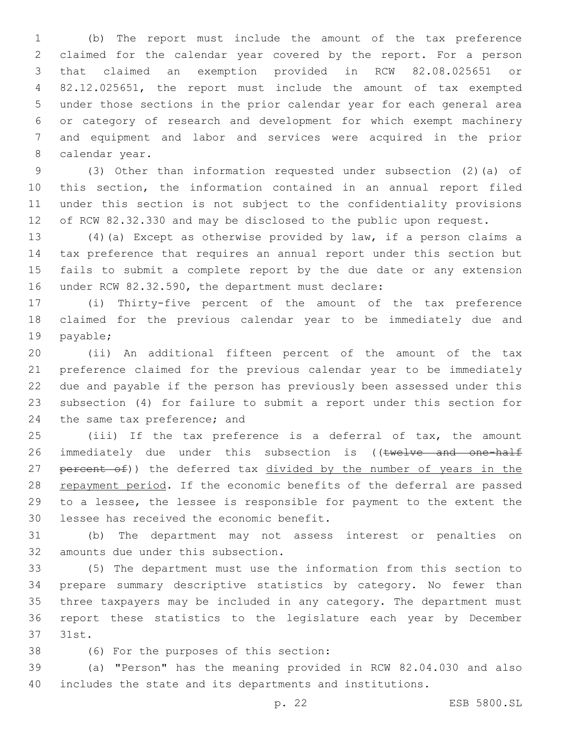(b) The report must include the amount of the tax preference claimed for the calendar year covered by the report. For a person that claimed an exemption provided in RCW 82.08.025651 or 82.12.025651, the report must include the amount of tax exempted under those sections in the prior calendar year for each general area or category of research and development for which exempt machinery and equipment and labor and services were acquired in the prior 8 calendar year.

 (3) Other than information requested under subsection (2)(a) of this section, the information contained in an annual report filed under this section is not subject to the confidentiality provisions of RCW 82.32.330 and may be disclosed to the public upon request.

 (4)(a) Except as otherwise provided by law, if a person claims a tax preference that requires an annual report under this section but fails to submit a complete report by the due date or any extension 16 under RCW 82.32.590, the department must declare:

 (i) Thirty-five percent of the amount of the tax preference claimed for the previous calendar year to be immediately due and 19 payable;

 (ii) An additional fifteen percent of the amount of the tax preference claimed for the previous calendar year to be immediately due and payable if the person has previously been assessed under this subsection (4) for failure to submit a report under this section for 24 the same tax preference; and

 (iii) If the tax preference is a deferral of tax, the amount 26 immediately due under this subsection is ((twelve and one-half 27 percent of)) the deferred tax divided by the number of years in the 28 repayment period. If the economic benefits of the deferral are passed to a lessee, the lessee is responsible for payment to the extent the 30 lessee has received the economic benefit.

 (b) The department may not assess interest or penalties on 32 amounts due under this subsection.

 (5) The department must use the information from this section to prepare summary descriptive statistics by category. No fewer than three taxpayers may be included in any category. The department must report these statistics to the legislature each year by December 37 31st.

38 (6) For the purposes of this section:

 (a) "Person" has the meaning provided in RCW 82.04.030 and also includes the state and its departments and institutions.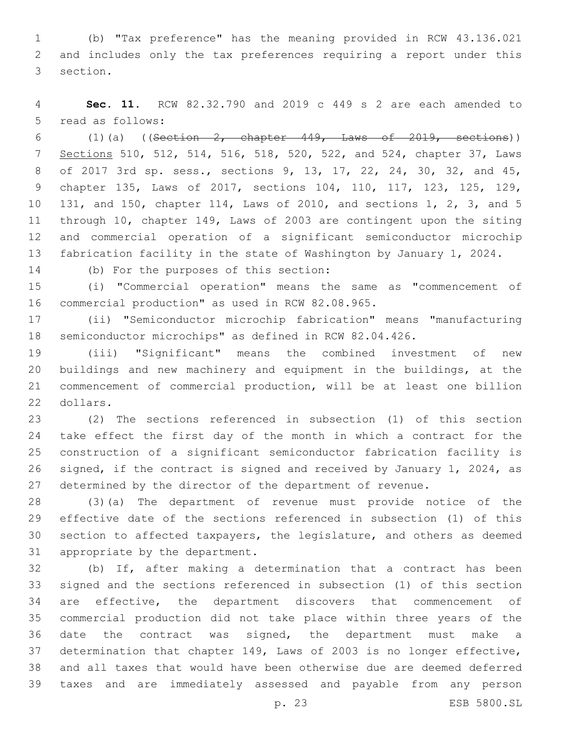(b) "Tax preference" has the meaning provided in RCW 43.136.021 and includes only the tax preferences requiring a report under this 3 section.

 **Sec. 11.** RCW 82.32.790 and 2019 c 449 s 2 are each amended to 5 read as follows:

 $(1)(a)$  ((Section 2, chapter 449, Laws of 2019, sections)) Sections 510, 512, 514, 516, 518, 520, 522, and 524, chapter 37, Laws of 2017 3rd sp. sess., sections 9, 13, 17, 22, 24, 30, 32, and 45, chapter 135, Laws of 2017, sections 104, 110, 117, 123, 125, 129, 131, and 150, chapter 114, Laws of 2010, and sections 1, 2, 3, and 5 through 10, chapter 149, Laws of 2003 are contingent upon the siting and commercial operation of a significant semiconductor microchip fabrication facility in the state of Washington by January 1, 2024.

(b) For the purposes of this section:14

 (i) "Commercial operation" means the same as "commencement of 16 commercial production" as used in RCW 82.08.965.

 (ii) "Semiconductor microchip fabrication" means "manufacturing semiconductor microchips" as defined in RCW 82.04.426.

 (iii) "Significant" means the combined investment of new buildings and new machinery and equipment in the buildings, at the commencement of commercial production, will be at least one billion 22 dollars.

 (2) The sections referenced in subsection (1) of this section take effect the first day of the month in which a contract for the construction of a significant semiconductor fabrication facility is signed, if the contract is signed and received by January 1, 2024, as determined by the director of the department of revenue.

 (3)(a) The department of revenue must provide notice of the effective date of the sections referenced in subsection (1) of this section to affected taxpayers, the legislature, and others as deemed 31 appropriate by the department.

 (b) If, after making a determination that a contract has been signed and the sections referenced in subsection (1) of this section are effective, the department discovers that commencement of commercial production did not take place within three years of the date the contract was signed, the department must make a determination that chapter 149, Laws of 2003 is no longer effective, and all taxes that would have been otherwise due are deemed deferred taxes and are immediately assessed and payable from any person

p. 23 ESB 5800.SL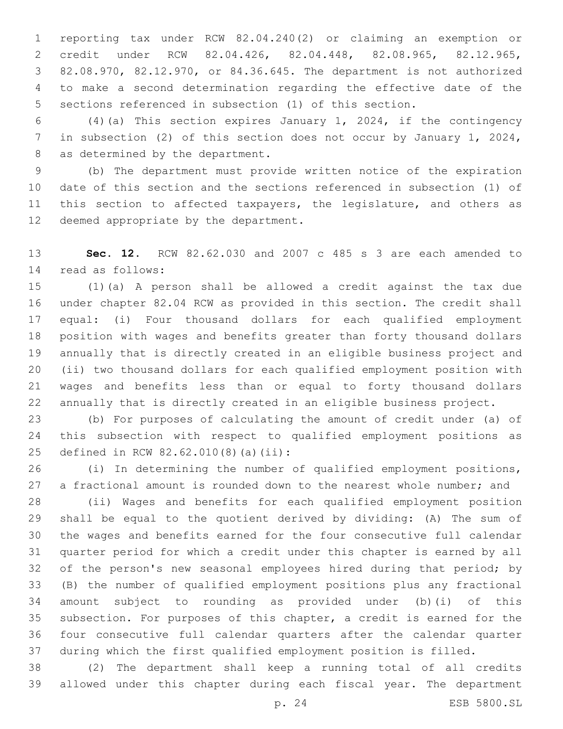reporting tax under RCW 82.04.240(2) or claiming an exemption or credit under RCW 82.04.426, 82.04.448, 82.08.965, 82.12.965, 82.08.970, 82.12.970, or 84.36.645. The department is not authorized to make a second determination regarding the effective date of the sections referenced in subsection (1) of this section.

 (4)(a) This section expires January 1, 2024, if the contingency in subsection (2) of this section does not occur by January 1, 2024, 8 as determined by the department.

 (b) The department must provide written notice of the expiration date of this section and the sections referenced in subsection (1) of 11 this section to affected taxpayers, the legislature, and others as 12 deemed appropriate by the department.

 **Sec. 12.** RCW 82.62.030 and 2007 c 485 s 3 are each amended to read as follows:14

 (1)(a) A person shall be allowed a credit against the tax due under chapter 82.04 RCW as provided in this section. The credit shall equal: (i) Four thousand dollars for each qualified employment position with wages and benefits greater than forty thousand dollars annually that is directly created in an eligible business project and (ii) two thousand dollars for each qualified employment position with wages and benefits less than or equal to forty thousand dollars annually that is directly created in an eligible business project.

 (b) For purposes of calculating the amount of credit under (a) of this subsection with respect to qualified employment positions as 25 defined in RCW 82.62.010(8)(a)(ii):

 (i) In determining the number of qualified employment positions, 27 a fractional amount is rounded down to the nearest whole number; and

 (ii) Wages and benefits for each qualified employment position shall be equal to the quotient derived by dividing: (A) The sum of the wages and benefits earned for the four consecutive full calendar quarter period for which a credit under this chapter is earned by all 32 of the person's new seasonal employees hired during that period; by (B) the number of qualified employment positions plus any fractional amount subject to rounding as provided under (b)(i) of this subsection. For purposes of this chapter, a credit is earned for the four consecutive full calendar quarters after the calendar quarter during which the first qualified employment position is filled.

 (2) The department shall keep a running total of all credits allowed under this chapter during each fiscal year. The department

p. 24 ESB 5800.SL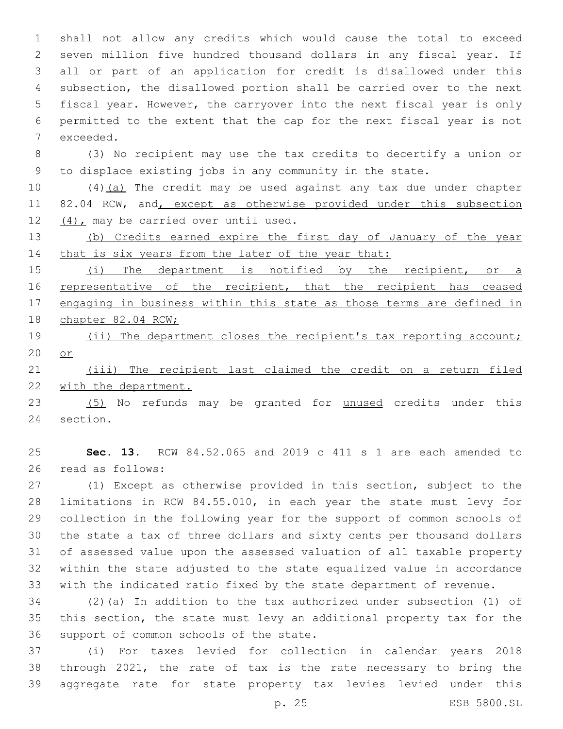shall not allow any credits which would cause the total to exceed seven million five hundred thousand dollars in any fiscal year. If all or part of an application for credit is disallowed under this subsection, the disallowed portion shall be carried over to the next fiscal year. However, the carryover into the next fiscal year is only permitted to the extent that the cap for the next fiscal year is not 7 exceeded.

 (3) No recipient may use the tax credits to decertify a union or to displace existing jobs in any community in the state.

 (4)(a) The credit may be used against any tax due under chapter 11 82.04 RCW, and, except as otherwise provided under this subsection 12  $(4)$ , may be carried over until used.

 (b) Credits earned expire the first day of January of the year 14 that is six years from the later of the year that:

15 (i) The department is notified by the recipient, or a 16 representative of the recipient, that the recipient has ceased 17 engaging in business within this state as those terms are defined in chapter 82.04 RCW;

 (ii) The department closes the recipient's tax reporting account; or

 (iii) The recipient last claimed the credit on a return filed 22 with the department.

 (5) No refunds may be granted for unused credits under this 24 section.

 **Sec. 13.** RCW 84.52.065 and 2019 c 411 s 1 are each amended to 26 read as follows:

 (1) Except as otherwise provided in this section, subject to the limitations in RCW 84.55.010, in each year the state must levy for collection in the following year for the support of common schools of the state a tax of three dollars and sixty cents per thousand dollars of assessed value upon the assessed valuation of all taxable property within the state adjusted to the state equalized value in accordance with the indicated ratio fixed by the state department of revenue.

 (2)(a) In addition to the tax authorized under subsection (1) of this section, the state must levy an additional property tax for the 36 support of common schools of the state.

 (i) For taxes levied for collection in calendar years 2018 through 2021, the rate of tax is the rate necessary to bring the aggregate rate for state property tax levies levied under this

p. 25 ESB 5800.SL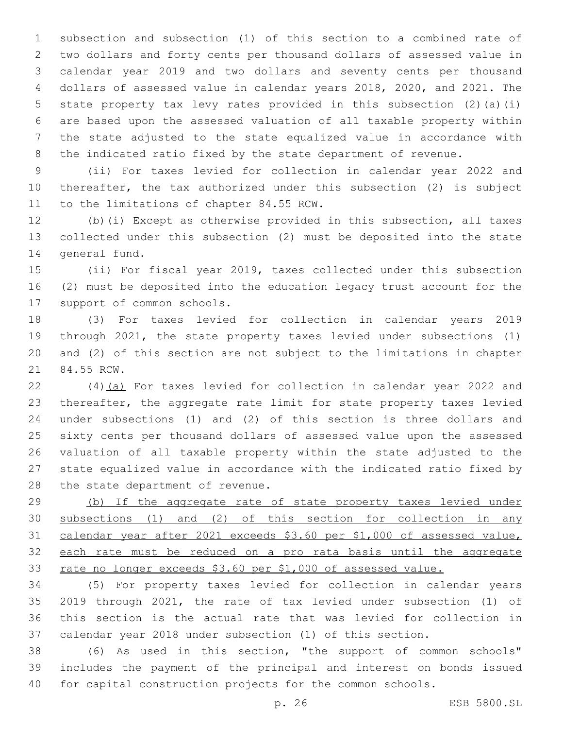subsection and subsection (1) of this section to a combined rate of two dollars and forty cents per thousand dollars of assessed value in calendar year 2019 and two dollars and seventy cents per thousand dollars of assessed value in calendar years 2018, 2020, and 2021. The state property tax levy rates provided in this subsection (2)(a)(i) are based upon the assessed valuation of all taxable property within the state adjusted to the state equalized value in accordance with the indicated ratio fixed by the state department of revenue.

 (ii) For taxes levied for collection in calendar year 2022 and thereafter, the tax authorized under this subsection (2) is subject 11 to the limitations of chapter 84.55 RCW.

 (b)(i) Except as otherwise provided in this subsection, all taxes collected under this subsection (2) must be deposited into the state 14 general fund.

 (ii) For fiscal year 2019, taxes collected under this subsection (2) must be deposited into the education legacy trust account for the 17 support of common schools.

 (3) For taxes levied for collection in calendar years 2019 through 2021, the state property taxes levied under subsections (1) and (2) of this section are not subject to the limitations in chapter 21 84.55 RCW.

 (4)(a) For taxes levied for collection in calendar year 2022 and thereafter, the aggregate rate limit for state property taxes levied under subsections (1) and (2) of this section is three dollars and sixty cents per thousand dollars of assessed value upon the assessed valuation of all taxable property within the state adjusted to the state equalized value in accordance with the indicated ratio fixed by 28 the state department of revenue.

 (b) If the aggregate rate of state property taxes levied under subsections (1) and (2) of this section for collection in any calendar year after 2021 exceeds \$3.60 per \$1,000 of assessed value, each rate must be reduced on a pro rata basis until the aggregate rate no longer exceeds \$3.60 per \$1,000 of assessed value.

 (5) For property taxes levied for collection in calendar years 2019 through 2021, the rate of tax levied under subsection (1) of this section is the actual rate that was levied for collection in calendar year 2018 under subsection (1) of this section.

 (6) As used in this section, "the support of common schools" includes the payment of the principal and interest on bonds issued for capital construction projects for the common schools.

p. 26 ESB 5800.SL